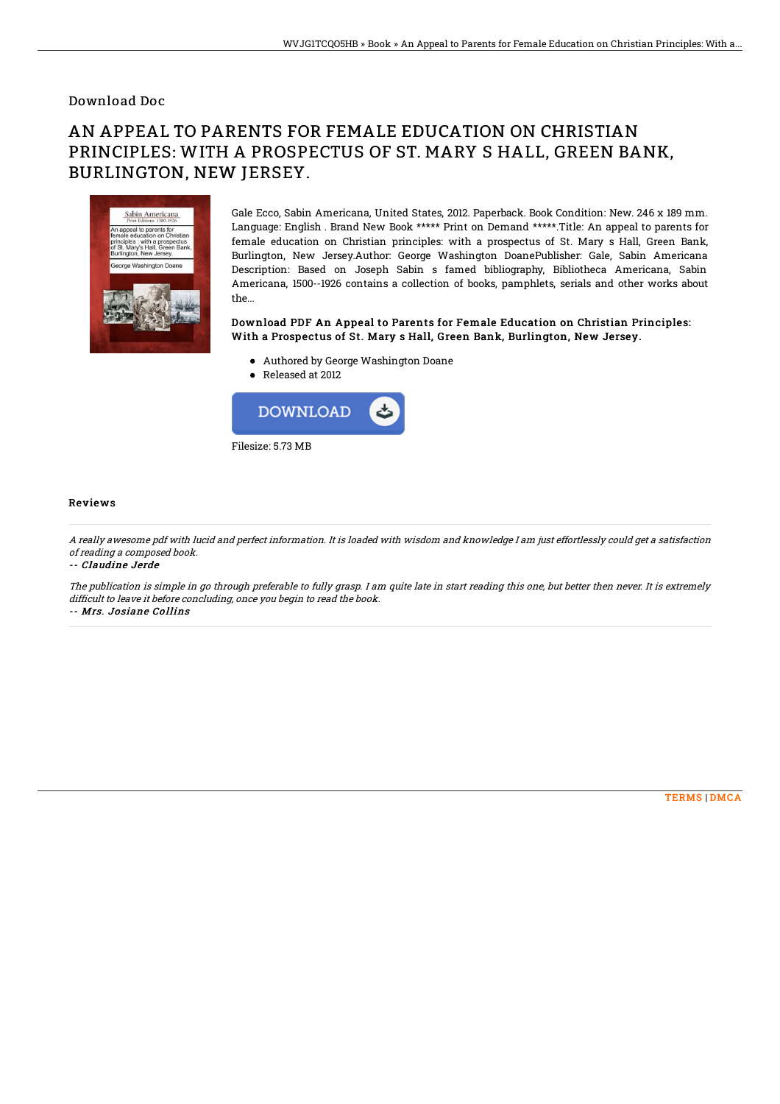### Download Doc

# AN APPEAL TO PARENTS FOR FEMALE EDUCATION ON CHRISTIAN PRINCIPLES: WITH A PROSPECTUS OF ST. MARY S HALL, GREEN BANK, BURLINGTON, NEW JERSEY.



Gale Ecco, Sabin Americana, United States, 2012. Paperback. Book Condition: New. 246 x 189 mm. Language: English . Brand New Book \*\*\*\*\* Print on Demand \*\*\*\*\*.Title: An appeal to parents for female education on Christian principles: with a prospectus of St. Mary s Hall, Green Bank, Burlington, New Jersey.Author: George Washington DoanePublisher: Gale, Sabin Americana Description: Based on Joseph Sabin s famed bibliography, Bibliotheca Americana, Sabin Americana, 1500--1926 contains a collection of books, pamphlets, serials and other works about the...

#### Download PDF An Appeal to Parents for Female Education on Christian Principles: With a Prospectus of St. Mary s Hall, Green Bank, Burlington, New Jersey.

- Authored by George Washington Doane
- Released at 2012



#### Reviews

A really awesome pdf with lucid and perfect information. It is loaded with wisdom and knowledge I am just effortlessly could get <sup>a</sup> satisfaction of reading <sup>a</sup> composed book.

-- Claudine Jerde

The publication is simple in go through preferable to fully grasp. I am quite late in start reading this one, but better then never. It is extremely difficult to leave it before concluding, once you begin to read the book.

-- Mrs. Josiane Collins